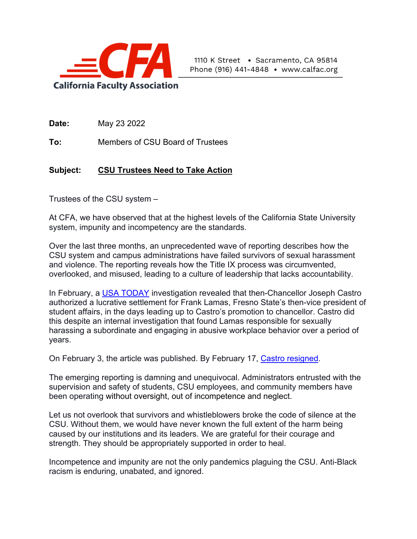

**Date:** May 23 2022

**To:** Members of CSU Board of Trustees

## **Subject: CSU Trustees Need to Take Action**

Trustees of the CSU system –

At CFA, we have observed that at the highest levels of the California State University system, impunity and incompetency are the standards.

Over the last three months, an unprecedented wave of reporting describes how the CSU system and campus administrations have failed survivors of sexual harassment and violence. The reporting reveals how the Title IX process was circumvented, overlooked, and misused, leading to a culture of leadership that lacks accountability.

In February, a [USA TODAY](https://www.usatoday.com/in-depth/news/investigations/2022/02/03/cal-state-chancellor-joseph-castro-mishandled-sexual-harassment-fresno-state-title-ix-frank-lamas/9109414002/) investigation revealed that then-Chancellor Joseph Castro authorized a lucrative settlement for Frank Lamas, Fresno State's then-vice president of student affairs, in the days leading up to Castro's promotion to chancellor. Castro did this despite an internal investigation that found Lamas responsible for sexually harassing a subordinate and engaging in abusive workplace behavior over a period of years.

On February 3, the article was published. By February 17, [Castro resigned.](https://www.usatoday.com/story/news/2022/02/17/cal-state-chancellor-joseph-castro-resigns-investigation-frank-lamas/6831563001/)

The emerging reporting is damning and unequivocal. Administrators entrusted with the supervision and safety of students, CSU employees, and community members have been operating without oversight, out of incompetence and neglect.

Let us not overlook that survivors and whistleblowers broke the code of silence at the CSU. Without them, we would have never known the full extent of the harm being caused by our institutions and its leaders. We are grateful for their courage and strength. They should be appropriately supported in order to heal.

Incompetence and impunity are not the only pandemics plaguing the CSU. Anti-Black racism is enduring, unabated, and ignored.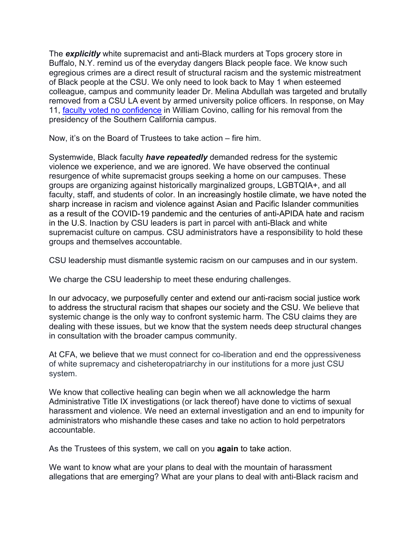The *explicitly* white supremacist and anti-Black murders at Tops grocery store in Buffalo, N.Y. remind us of the everyday dangers Black people face. We know such egregious crimes are a direct result of structural racism and the systemic mistreatment of Black people at the CSU. We only need to look back to May 1 when esteemed colleague, campus and community leader Dr. Melina Abdullah was targeted and brutally removed from a CSU LA event by armed university police officers. In response, on May 11, faculty [voted no confidence](https://www.calfac.org/csu-la-faculty-vote-no-confidence-in-president-covino-cfa-demands-csu-address-its-systemic-anti-black-racism/) in William Covino, calling for his removal from the presidency of the Southern California campus.

Now, it's on the Board of Trustees to take action – fire him.

Systemwide, Black faculty *have repeatedly* demanded redress for the systemic violence we experience, and we are ignored. We have observed the continual resurgence of white supremacist groups seeking a home on our campuses. These groups are organizing against historically marginalized groups, LGBTQIA+, and all faculty, staff, and students of color. In an increasingly hostile climate, we have noted the sharp increase in racism and violence against Asian and Pacific Islander communities as a result of the COVID-19 pandemic and the centuries of anti-APIDA hate and racism in the U.S. Inaction by CSU leaders is part in parcel with anti-Black and white supremacist culture on campus. CSU administrators have a responsibility to hold these groups and themselves accountable.

CSU leadership must dismantle systemic racism on our campuses and in our system.

We charge the CSU leadership to meet these enduring challenges.

In our advocacy, we purposefully center and extend our anti-racism social justice work to address the structural racism that shapes our society and the CSU. We believe that systemic change is the only way to confront systemic harm. The CSU claims they are dealing with these issues, but we know that the system needs deep structural changes in consultation with the broader campus community.

At CFA, we believe that we must connect for co-liberation and end the oppressiveness of white supremacy and cisheteropatriarchy in our institutions for a more just CSU system.

We know that collective healing can begin when we all acknowledge the harm Administrative Title IX investigations (or lack thereof) have done to victims of sexual harassment and violence. We need an external investigation and an end to impunity for administrators who mishandle these cases and take no action to hold perpetrators accountable.

As the Trustees of this system, we call on you **again** to take action.

We want to know what are your plans to deal with the mountain of harassment allegations that are emerging? What are your plans to deal with anti-Black racism and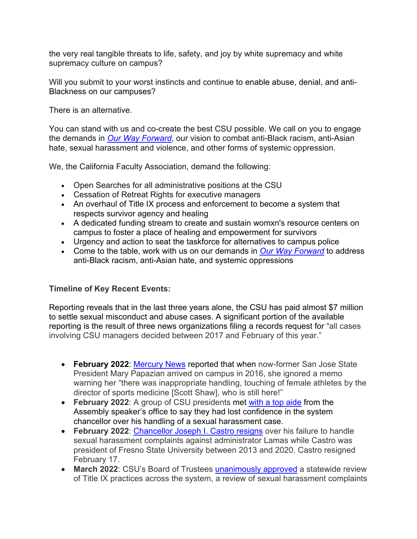the very real tangible threats to life, safety, and joy by white supremacy and white supremacy culture on campus?

Will you submit to your worst instincts and continue to enable abuse, denial, and anti-Blackness on our campuses?

There is an alternative.

You can stand with us and co-create the best CSU possible. We call on you to engage the demands in *[Our Way Forward](https://www.calfac.org/wp-content/uploads/2021/10/CFA-Our-Way-Forward-Volume-II-Final-2.pdf)*, our vision to combat anti-Black racism, anti-Asian hate, sexual harassment and violence, and other forms of systemic oppression.

We, the California Faculty Association, demand the following:

- Open Searches for all administrative positions at the CSU
- Cessation of Retreat Rights for executive managers
- An overhaul of Title IX process and enforcement to become a system that respects survivor agency and healing
- A dedicated funding stream to create and sustain womxn's resource centers on campus to foster a place of healing and empowerment for survivors
- Urgency and action to seat the taskforce for alternatives to campus police
- Come to the table, work with us on our demands in *[Our Way Forward](https://www.calfac.org/wp-content/uploads/2021/10/CFA-Our-Way-Forward-Volume-II-Final-2.pdf)* to address anti-Black racism, anti-Asian hate, and systemic oppressions

## **Timeline of Key Recent Events:**

Reporting reveals that in the last three years alone, the CSU has paid almost \$7 million to settle sexual misconduct and abuse cases. A significant portion of the available reporting is the result of three news organizations filing a records request for "all cases involving CSU managers decided between 2017 and February of this year."

- **February 2022**: [Mercury](https://www.mercurynews.com/2022/02/06/this-long-secret-email-warned-san-jose-state-president-about-sex-abuse-claims/) News reported that when now-former San Jose State President Mary Papazian arrived on campus in 2016, she ignored a memo warning her "there was inappropriate handling, touching of female athletes by the director of sports medicine [Scott Shaw], who is still here!"
- **February 2022**: A group of CSU presidents met [with a top aide](https://www.latimes.com/california/story/2022-04-20/sonoma-state-president-csu-sexual-harassment-scandal) from the Assembly speaker's office to say they had lost confidence in the system chancellor over his handling of a sexual harassment case.
- **February 2022**: [Chancellor Joseph I. Castro resigns](https://www.usatoday.com/story/news/2022/02/17/cal-state-chancellor-joseph-castro-resigns-investigation-frank-lamas/6831563001/) over his failure to handle sexual harassment complaints against administrator Lamas while Castro was president of Fresno State University between 2013 and 2020. Castro resigned February 17.
- March 2022: CSU's Board of Trustees [unanimously approved](https://www.capradio.org/articles/2022/03/22/in-wake-of-castro-resignation-cal-state-launches-investigations-of-systems-handling-of-sexual-harassment-complaints/) a statewide review of Title IX practices across the system, a review of sexual harassment complaints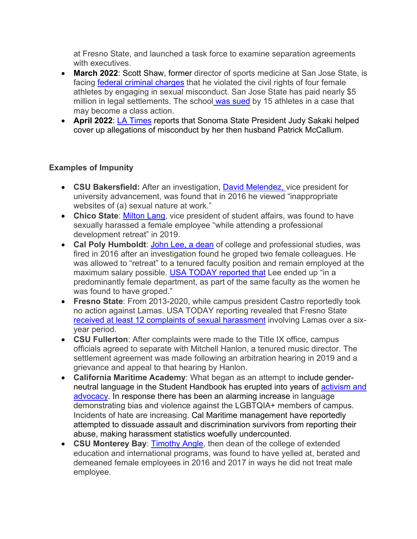at Fresno State, and launched a task force to examine separation agreements with executives

- **March 2022**: Scott Shaw, former director of sports medicine at San Jose State, is facing [federal criminal charges](https://www.mercurynews.com/2022/03/10/former-sjsu-athletic-trainer-charged-by-justice-department-in-sex-abuse-scandal/) that he violated the civil rights of four female athletes by engaging in sexual misconduct. San Jose State has paid nearly \$5 million in legal settlements. The school was sued by 15 athletes in a case that may become a class action.
- **April 2022**: [LA Times](https://www.latimes.com/california/story/2022-04-13/csu-provost-reported-harassment-against-presidents-husband-then-faced-retaliation-records-say) reports that Sonoma State President Judy Sakaki helped cover up allegations of misconduct by her then husband Patrick McCallum.

## **Examples of Impunity**

- **CSU Bakersfield:** After an investigation, [David Melendez,](https://www.documentcloud.org/documents/21907070-bakersfield-summary-report?responsive=1&title=1) vice president for university advancement, was found that in 2016 he viewed "inappropriate websites of (a) sexual nature at work."
- Chico State: [Milton Lang,](https://www.documentcloud.org/documents/21907065-chico-state-summary-report?responsive=1&title=1) vice president of student affairs, was found to have sexually harassed a female employee "while attending a professional development retreat" in 2019.
- **Cal Poly Humboldt**: [John Lee, a dean](https://www.documentcloud.org/documents/21907067-humboldt-summary-report?responsive=1&title=1) of college and professional studies, was fired in 2016 after an investigation found he groped two female colleagues. He was allowed to "retreat" to a tenured faculty position and remain employed at the maximum salary possible. USA TODAY reported that Lee ended up "in a predominantly female department, as part of the same faculty as the women he was found to have groped."
- **Fresno State**: From 2013-2020, while campus president Castro reportedly took no action against Lamas. USA TODAY reporting revealed that Fresno State [received at least 12 complaints of sexual harassment](https://www.documentcloud.org/documents/21903128-csu-title-ix-investigation-report-on-frank-lamas?responsive=1&title=1) involving Lamas over a sixyear period.
- **CSU Fullerton**: After complaints were made to the Title IX office, campus officials agreed to separate with Mitchell Hanlon, a tenured music director. The settlement agreement was made following an arbitration hearing in 2019 and a grievance and appeal to that hearing by Hanlon.
- **California Maritime Academy**: What began as an attempt to include genderneutral language in the Student Handbook has erupted into years of [activism and](https://www.santacruzsentinel.com/2021/12/11/rachel-kippen-our-ocean-backyard-gender-discrimination-transphobia-part-of-campus-culture-at-california-public-maritime-institution/)  [advocacy.](https://www.santacruzsentinel.com/2021/12/11/rachel-kippen-our-ocean-backyard-gender-discrimination-transphobia-part-of-campus-culture-at-california-public-maritime-institution/) In response there has been an alarming increase in language demonstrating bias and violence against the LGBTQIA+ members of campus. Incidents of hate are increasing. Cal Maritime management have reportedly attempted to dissuade assault and discrimination survivors from reporting their abuse, making harassment statistics woefully undercounted.
- **CSU Monterey Bay**: [Timothy Angle,](https://www.documentcloud.org/documents/21907068-monterey-bay-summary-report?responsive=1&title=1) then dean of the college of extended education and international programs, was found to have yelled at, berated and demeaned female employees in 2016 and 2017 in ways he did not treat male employee.